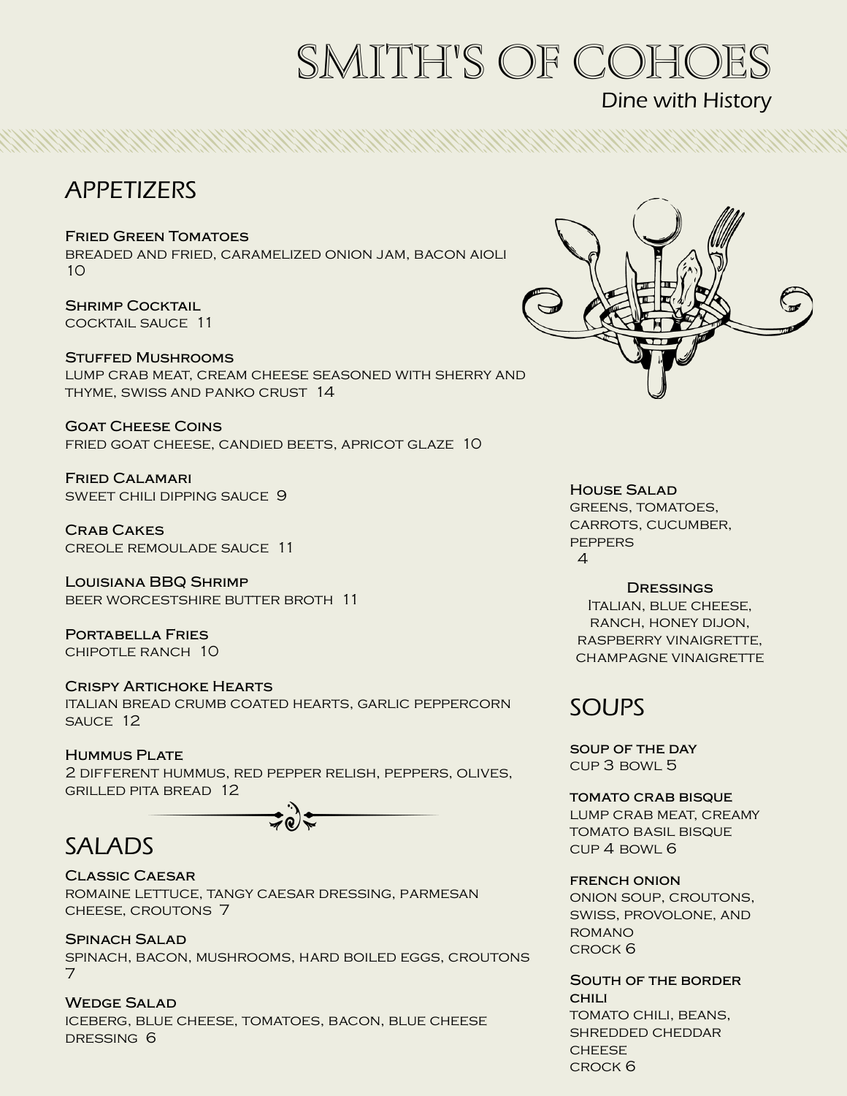# smith's of cohoes

# Dine with History

# APPETIZERS

**Fried Green Tomatoes**

breaded and fried, caramelized onion jam, bacon aioli 10

**Shrimp Cocktail** cocktail sauce 11

#### **Stuffed Mushrooms**

lump crab meat, cream cheese seasoned with sherry and thyme, swiss and panko crust 14

**Goat Cheese Coins** fried goat cheese, candied beets, apricot glaze 10

**Fried Calamari** sweet chili dipping sauce 9

**Crab Cakes** creole remoulade sauce 11

**Louisiana BBQ Shrimp** beer worcestshire butter broth 11

**Portabella Fries** chipotle ranch 10

# **Crispy Artichoke Hearts**

italian bread crumb coated hearts, garlic peppercorn sauce 12

#### **Hummus Plate**

2 different hummus, red pepper relish, peppers, olives, grilled pita bread 12

# SALADS

#### **Classic Caesar** romaine lettuce, tangy caesar dressing, parmesan cheese, croutons 7

**Spinach Salad** spinach, bacon, mushrooms, hard boiled eggs, croutons 7

**Wedge Salad** iceberg, blue cheese, tomatoes, bacon, blue cheese dressing 6



**House Salad**

GREENS, TOMATOES, carrots, cucumber, **PEPPERS** 4

#### **Dressings**

Italian, blue cheese, ranch, honey dijon, raspberry vinaigrette, champagne vinaigrette

# SOUPS

**soup of the day**  cup 3 bowl 5

**tomato crab bisque** LUMP CRAB MEAT, CREAMY tomato basil bisque

cup 4 bowl 6

#### **french onion**

onion soup, croutons, swiss, provolone, and romano crock 6

**South of the border chili** tomato chili, beans, shredded cheddar **CHEESE** crock 6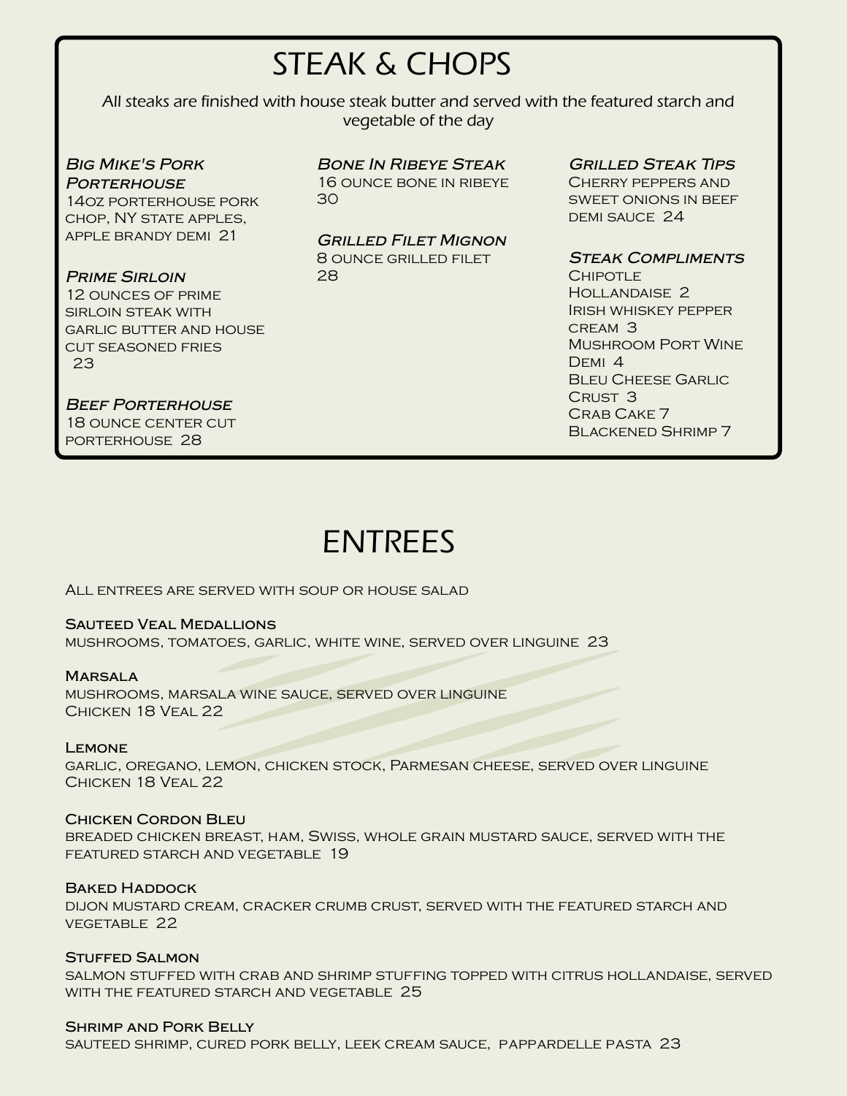# STEAK & CHOPS

All steaks are finished with house steak butter and served with the featured starch and vegetable of the day

*Big Mike's Pork Porterhouse* 14oz porterhouse pork chop, NY state apples, apple brandy demi 21

garlic butter and house cut seasoned fries

*Prime Sirloin* 12 ounces of prime sirloin steak with

23

### *Bone In Ribeye Steak*

16 ounce bone in ribeye 30

# *Grilled Filet Mignon*

8 OUNCE GRILLED FILET 28

*Grilled Steak Tips*

Cherry peppers and sweet onions in beef DEMI SAUCE 24

### *Steak Compliments*

**CHIPOTLE** Hollandaise 2 Irish whiskey pepper cream 3 Mushroom Port Wine DEMI<sub>4</sub> **BLEU CHEESE GARLIC** Crust 3 Crab Cake 7 Blackened Shrimp 7

*Beef Porterhouse* 18 ounce center cut porterhouse 28

# ENTREES

All entrees are served with soup or house salad

#### **Sauteed Veal Medallions**

mushrooms, tomatoes, garlic, white wine, served over linguine 23

#### **Marsala**

mushrooms, marsala wine sauce, served over linguine Chicken 18 Veal 22

#### **Lemone**

garlic, oregano, lemon, chicken stock, Parmesan cheese, served over linguine Chicken 18 Veal 22

#### **Chicken Cordon Bleu**

breaded chicken breast, ham, Swiss, whole grain mustard sauce, served with the featured starch and vegetable 19

#### **Baked Haddock**

dijon mustard cream, cracker crumb crust, served with the featured starch and vegetable 22

#### **Stuffed Salmon**

salmon stuffed with crab and shrimp stuffing topped with citrus hollandaise, served WITH THE FEATURED STARCH AND VEGETABLE 25

#### **Shrimp and Pork Belly**

sauteed shrimp, cured pork belly, leek cream sauce, pappardelle pasta 23